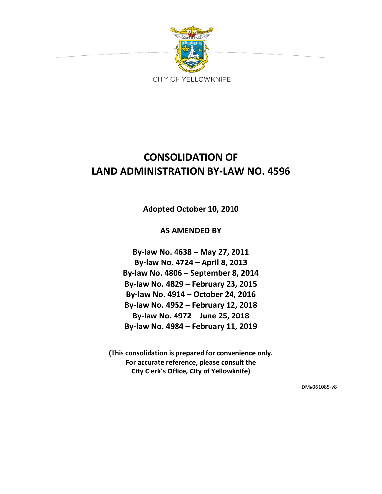

# **CONSOLIDATION OF LAND ADMINISTRATION BY‐LAW NO. 4596**

**Adopted October 10, 2010**

**AS AMENDED BY**

**By‐law No. 4638 – May 27, 2011 By‐law No. 4724 – April 8, 2013 By‐law No. 4806 – September 8, 2014 By‐law No. 4829 – February 23, 2015 By‐law No. 4914 – October 24, 2016 By‐law No. 4952 – February 12, 2018 By‐law No. 4972 – June 25, 2018 By‐law No. 4984 – February 11, 2019**

**(This consolidation is prepared for convenience only. For accurate reference, please consult the City Clerk's Office, City of Yellowknife)**

DM#361085‐v8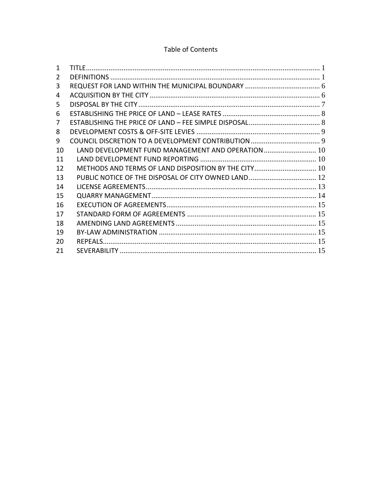# Table of Contents

| 1  |                                                      |  |
|----|------------------------------------------------------|--|
| 2  |                                                      |  |
| 3  |                                                      |  |
| 4  |                                                      |  |
| 5  |                                                      |  |
| 6  |                                                      |  |
| 7  |                                                      |  |
| 8  |                                                      |  |
| 9  |                                                      |  |
| 10 | LAND DEVELOPMENT FUND MANAGEMENT AND OPERATION  10   |  |
| 11 |                                                      |  |
| 12 | METHODS AND TERMS OF LAND DISPOSITION BY THE CITY 10 |  |
| 13 |                                                      |  |
| 14 |                                                      |  |
| 15 |                                                      |  |
| 16 |                                                      |  |
| 17 |                                                      |  |
| 18 |                                                      |  |
| 19 |                                                      |  |
| 20 |                                                      |  |
| 21 |                                                      |  |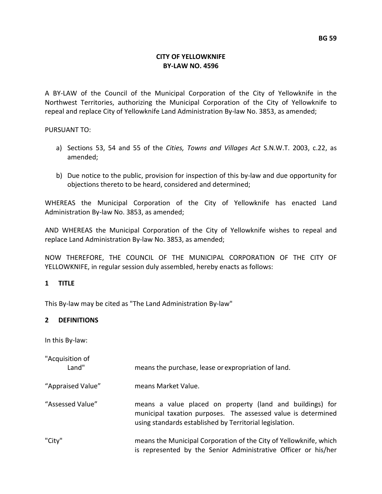# **CITY OF YELLOWKNIFE BY‐LAW NO. 4596**

A BY‐LAW of the Council of the Municipal Corporation of the City of Yellowknife in the Northwest Territories, authorizing the Municipal Corporation of the City of Yellowknife to repeal and replace City of Yellowknife Land Administration By‐law No. 3853, as amended;

PURSUANT TO:

- a) Sections 53, 54 and 55 of the *Cities, Towns and Villages Act* S.N.W.T. 2003, c.22, as amended;
- b) Due notice to the public, provision for inspection of this by-law and due opportunity for objections thereto to be heard, considered and determined;

WHEREAS the Municipal Corporation of the City of Yellowknife has enacted Land Administration By‐law No. 3853, as amended;

AND WHEREAS the Municipal Corporation of the City of Yellowknife wishes to repeal and replace Land Administration By‐law No. 3853, as amended;

NOW THEREFORE, THE COUNCIL OF THE MUNICIPAL CORPORATION OF THE CITY OF YELLOWKNIFE, in regular session duly assembled, hereby enacts as follows:

## **1 TITLE**

This By‐law may be cited as "The Land Administration By‐law"

# **2 DEFINITIONS**

In this By‐law:

| "Acquisition of<br>Land" | means the purchase, lease or expropriation of land.                                                                                                                                   |
|--------------------------|---------------------------------------------------------------------------------------------------------------------------------------------------------------------------------------|
| "Appraised Value"        | means Market Value.                                                                                                                                                                   |
| "Assessed Value"         | means a value placed on property (land and buildings) for<br>municipal taxation purposes. The assessed value is determined<br>using standards established by Territorial legislation. |
| "City"                   | means the Municipal Corporation of the City of Yellowknife, which<br>is represented by the Senior Administrative Officer or his/her                                                   |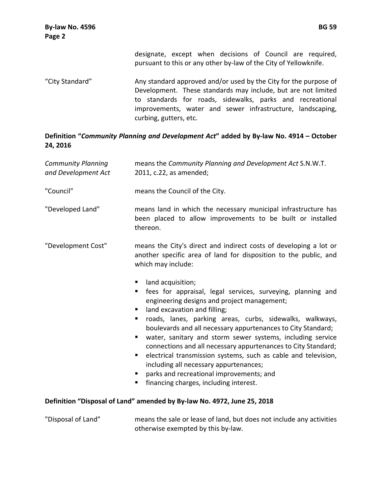designate, except when decisions of Council are required, pursuant to this or any other by‐law of the City of Yellowknife.

"City Standard" Any standard approved and/or used by the City for the purpose of Development. These standards may include, but are not limited to standards for roads, sidewalks, parks and recreational improvements, water and sewer infrastructure, landscaping, curbing, gutters, etc.

# **Definition "***Community Planning and Development Act***" added by By‐law No. 4914 – October 24, 2016**

| <b>Community Planning</b><br>and Development Act | means the Community Planning and Development Act S.N.W.T.<br>2011, c.22, as amended;                                                                                                                                                                                                                                                                                                                                                                                                                                                                                                                                                                       |
|--------------------------------------------------|------------------------------------------------------------------------------------------------------------------------------------------------------------------------------------------------------------------------------------------------------------------------------------------------------------------------------------------------------------------------------------------------------------------------------------------------------------------------------------------------------------------------------------------------------------------------------------------------------------------------------------------------------------|
| "Council"                                        | means the Council of the City.                                                                                                                                                                                                                                                                                                                                                                                                                                                                                                                                                                                                                             |
| "Developed Land"                                 | means land in which the necessary municipal infrastructure has<br>been placed to allow improvements to be built or installed<br>thereon.                                                                                                                                                                                                                                                                                                                                                                                                                                                                                                                   |
| "Development Cost"                               | means the City's direct and indirect costs of developing a lot or<br>another specific area of land for disposition to the public, and<br>which may include:                                                                                                                                                                                                                                                                                                                                                                                                                                                                                                |
|                                                  | land acquisition;<br>fees for appraisal, legal services, surveying, planning and<br>ш<br>engineering designs and project management;<br>land excavation and filling;<br>٠<br>roads, lanes, parking areas, curbs, sidewalks, walkways,<br>ш<br>boulevards and all necessary appurtenances to City Standard;<br>water, sanitary and storm sewer systems, including service<br>٠<br>connections and all necessary appurtenances to City Standard;<br>electrical transmission systems, such as cable and television,<br>п<br>including all necessary appurtenances;<br>parks and recreational improvements; and<br>financing charges, including interest.<br>п |
|                                                  | Definition "Disposal of Land" amended by By-law No. 4972, June 25, 2018                                                                                                                                                                                                                                                                                                                                                                                                                                                                                                                                                                                    |
| "Disposal of Land"                               | means the sale or lease of land, but does not include any activities<br>otherwise exempted by this by-law.                                                                                                                                                                                                                                                                                                                                                                                                                                                                                                                                                 |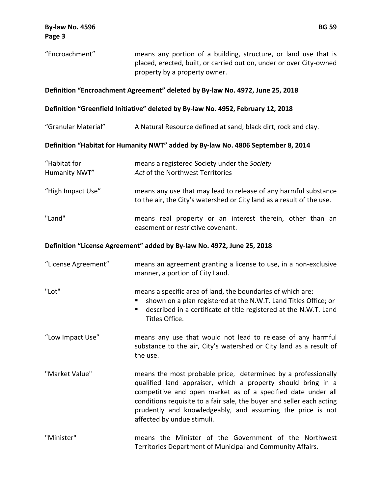| "Encroachment"                                                                                                                                                    | means any portion of a building, structure, or land use that is<br>placed, erected, built, or carried out on, under or over City-owned<br>property by a property owner.                                                                                                                                                                                            |  |  |  |  |
|-------------------------------------------------------------------------------------------------------------------------------------------------------------------|--------------------------------------------------------------------------------------------------------------------------------------------------------------------------------------------------------------------------------------------------------------------------------------------------------------------------------------------------------------------|--|--|--|--|
| Definition "Encroachment Agreement" deleted by By-law No. 4972, June 25, 2018<br>Definition "Greenfield Initiative" deleted by By-law No. 4952, February 12, 2018 |                                                                                                                                                                                                                                                                                                                                                                    |  |  |  |  |
|                                                                                                                                                                   |                                                                                                                                                                                                                                                                                                                                                                    |  |  |  |  |
|                                                                                                                                                                   | Definition "Habitat for Humanity NWT" added by By-law No. 4806 September 8, 2014                                                                                                                                                                                                                                                                                   |  |  |  |  |
| "Habitat for<br>Humanity NWT"                                                                                                                                     | means a registered Society under the Society<br>Act of the Northwest Territories                                                                                                                                                                                                                                                                                   |  |  |  |  |
| "High Impact Use"                                                                                                                                                 | means any use that may lead to release of any harmful substance<br>to the air, the City's watershed or City land as a result of the use.                                                                                                                                                                                                                           |  |  |  |  |
| "Land"                                                                                                                                                            | means real property or an interest therein, other than an<br>easement or restrictive covenant.                                                                                                                                                                                                                                                                     |  |  |  |  |
|                                                                                                                                                                   | Definition "License Agreement" added by By-law No. 4972, June 25, 2018                                                                                                                                                                                                                                                                                             |  |  |  |  |
| "License Agreement"                                                                                                                                               | means an agreement granting a license to use, in a non-exclusive<br>manner, a portion of City Land.                                                                                                                                                                                                                                                                |  |  |  |  |
| "Lot"                                                                                                                                                             | means a specific area of land, the boundaries of which are:<br>shown on a plan registered at the N.W.T. Land Titles Office; or<br>described in a certificate of title registered at the N.W.T. Land<br>Titles Office.                                                                                                                                              |  |  |  |  |
| "Low Impact Use"                                                                                                                                                  | means any use that would not lead to release of any harmful<br>substance to the air, City's watershed or City land as a result of<br>the use.                                                                                                                                                                                                                      |  |  |  |  |
| "Market Value"                                                                                                                                                    | means the most probable price, determined by a professionally<br>qualified land appraiser, which a property should bring in a<br>competitive and open market as of a specified date under all<br>conditions requisite to a fair sale, the buyer and seller each acting<br>prudently and knowledgeably, and assuming the price is not<br>affected by undue stimuli. |  |  |  |  |
| "Minister"                                                                                                                                                        | means the Minister of the Government of the Northwest<br>Territories Department of Municipal and Community Affairs.                                                                                                                                                                                                                                                |  |  |  |  |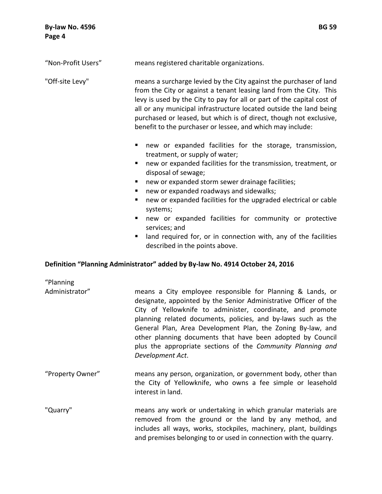| <b>By-law No. 4596</b><br>Page 4                                                                                                                                                                                                                                                                                                                                                                                                                | <b>BG 59</b>                                                                                                                                                                                                                                                                                                                                                                                                                                                                                                                                                                     |
|-------------------------------------------------------------------------------------------------------------------------------------------------------------------------------------------------------------------------------------------------------------------------------------------------------------------------------------------------------------------------------------------------------------------------------------------------|----------------------------------------------------------------------------------------------------------------------------------------------------------------------------------------------------------------------------------------------------------------------------------------------------------------------------------------------------------------------------------------------------------------------------------------------------------------------------------------------------------------------------------------------------------------------------------|
| "Non-Profit Users"                                                                                                                                                                                                                                                                                                                                                                                                                              | means registered charitable organizations.                                                                                                                                                                                                                                                                                                                                                                                                                                                                                                                                       |
| "Off-site Levy"<br>means a surcharge levied by the City against the purchaser of land<br>from the City or against a tenant leasing land from the City. This<br>levy is used by the City to pay for all or part of the capital cost of<br>all or any municipal infrastructure located outside the land being<br>purchased or leased, but which is of direct, though not exclusive,<br>benefit to the purchaser or lessee, and which may include: |                                                                                                                                                                                                                                                                                                                                                                                                                                                                                                                                                                                  |
|                                                                                                                                                                                                                                                                                                                                                                                                                                                 | new or expanded facilities for the storage, transmission,<br>٠<br>treatment, or supply of water;<br>new or expanded facilities for the transmission, treatment, or<br>٠<br>disposal of sewage;<br>new or expanded storm sewer drainage facilities;<br>ш<br>new or expanded roadways and sidewalks;<br>ш<br>new or expanded facilities for the upgraded electrical or cable<br>п<br>systems;<br>new or expanded facilities for community or protective<br>services; and<br>land required for, or in connection with, any of the facilities<br>п<br>described in the points above. |
|                                                                                                                                                                                                                                                                                                                                                                                                                                                 | Definition "Planning Administrator" added by By-law No. 4914 October 24, 2016                                                                                                                                                                                                                                                                                                                                                                                                                                                                                                    |
| "Planning<br>Administrator"                                                                                                                                                                                                                                                                                                                                                                                                                     | means a City employee responsible for Planning & Lands, or<br>designate, appointed by the Senior Administrative Officer of the<br>$\mathcal{L}$ , and the set of the set of the set of the set of the set of the set of the set of the set of the set of the set of the set of the set of the set of the set of the set of the set of the set of the set of the set                                                                                                                                                                                                              |

City of Yellowknife to administer, coordinate, and promote planning related documents, policies, and by‐laws such as the General Plan, Area Development Plan, the Zoning By‐law, and other planning documents that have been adopted by Council plus the appropriate sections of the *Community Planning and Development Act*.

- "Property Owner" means any person, organization, or government body, other than the City of Yellowknife, who owns a fee simple or leasehold interest in land.
- "Quarry" means any work or undertaking in which granular materials are removed from the ground or the land by any method, and includes all ways, works, stockpiles, machinery, plant, buildings and premises belonging to or used in connection with the quarry.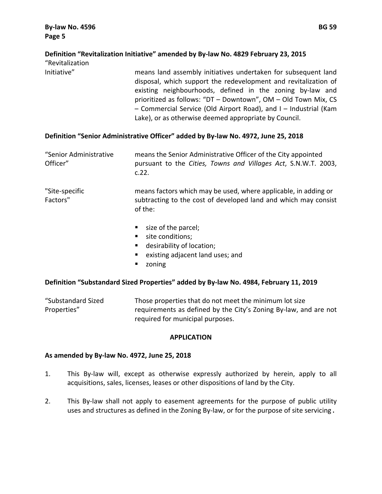# **Definition "Revitalization Initiative" amended by By‐law No. 4829 February 23, 2015**

"Revitalization

Initiative" means land assembly initiatives undertaken for subsequent land disposal, which support the redevelopment and revitalization of existing neighbourhoods, defined in the zoning by‐law and prioritized as follows: "DT – Downtown", OM – Old Town Mix, CS – Commercial Service (Old Airport Road), and I – Industrial (Kam Lake), or as otherwise deemed appropriate by Council.

# **Definition "Senior Administrative Officer" added by By‐law No. 4972, June 25, 2018**

| "Senior Administrative<br>Officer" | means the Senior Administrative Officer of the City appointed<br>pursuant to the Cities, Towns and Villages Act, S.N.W.T. 2003,<br>c.22.      |
|------------------------------------|-----------------------------------------------------------------------------------------------------------------------------------------------|
| "Site-specific<br>Factors"         | means factors which may be used, where applicable, in adding or<br>subtracting to the cost of developed land and which may consist<br>of the: |
|                                    | $\blacksquare$ size of the parcel;<br>site conditions;<br>desirability of location;<br>existing adjacent land uses; and<br>п                  |

**E** zoning

# **Definition "Substandard Sized Properties" added by By‐law No. 4984, February 11, 2019**

| "Substandard Sized | Those properties that do not meet the minimum lot size           |
|--------------------|------------------------------------------------------------------|
| Properties"        | requirements as defined by the City's Zoning By-law, and are not |
|                    | required for municipal purposes.                                 |

## **APPLICATION**

## **As amended by By‐law No. 4972, June 25, 2018**

- 1. This By‐law will, except as otherwise expressly authorized by herein, apply to all acquisitions, sales, licenses, leases or other dispositions of land by the City.
- 2. This By-law shall not apply to easement agreements for the purpose of public utility uses and structures as defined in the Zoning By-law, or for the purpose of site servicing.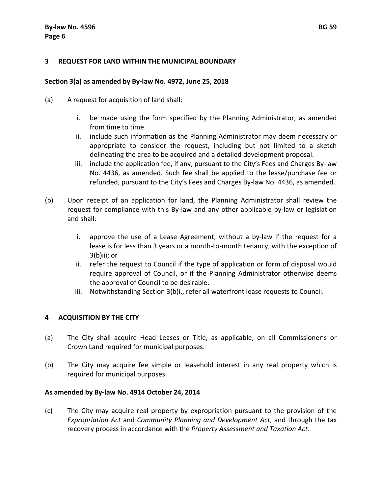#### **3 REQUEST FOR LAND WITHIN THE MUNICIPAL BOUNDARY**

#### **Section 3(a) as amended by By‐law No. 4972, June 25, 2018**

- (a) A request for acquisition of land shall:
	- i. be made using the form specified by the Planning Administrator, as amended from time to time.
	- ii. include such information as the Planning Administrator may deem necessary or appropriate to consider the request, including but not limited to a sketch delineating the area to be acquired and a detailed development proposal.
	- iii. include the application fee, if any, pursuant to the City's Fees and Charges By‐law No. 4436, as amended. Such fee shall be applied to the lease/purchase fee or refunded, pursuant to the City's Fees and Charges By‐law No. 4436, as amended.
- (b) Upon receipt of an application for land, the Planning Administrator shall review the request for compliance with this By‐law and any other applicable by‐law or legislation and shall:
	- i. approve the use of a Lease Agreement, without a by‐law if the request for a lease is for less than 3 years or a month‐to‐month tenancy, with the exception of 3(b)iii; or
	- ii. refer the request to Council if the type of application or form of disposal would require approval of Council, or if the Planning Administrator otherwise deems the approval of Council to be desirable.
	- iii. Notwithstanding Section 3(b)i., refer all waterfront lease requests to Council.

## **4 ACQUISITION BY THE CITY**

- (a) The City shall acquire Head Leases or Title, as applicable, on all Commissioner's or Crown Land required for municipal purposes.
- (b) The City may acquire fee simple or leasehold interest in any real property which is required for municipal purposes.

#### **As amended by By‐law No. 4914 October 24, 2014**

(c) The City may acquire real property by expropriation pursuant to the provision of the *Expropriation Act* and *Community Planning and Development Act*, and through the tax recovery process in accordance with the *Property Assessment and Taxation Act.*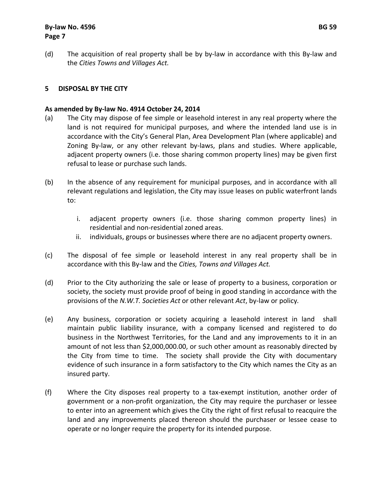# **By‐law No. 4596 BG 59 Page 7**

(d) The acquisition of real property shall be by by‐law in accordance with this By‐law and the *Cities Towns and Villages Act.*

# **5 DISPOSAL BY THE CITY**

#### **As amended by By‐law No. 4914 October 24, 2014**

- (a) The City may dispose of fee simple or leasehold interest in any real property where the land is not required for municipal purposes, and where the intended land use is in accordance with the City's General Plan, Area Development Plan (where applicable) and Zoning By-law, or any other relevant by-laws, plans and studies. Where applicable, adjacent property owners (i.e. those sharing common property lines) may be given first refusal to lease or purchase such lands.
- (b) In the absence of any requirement for municipal purposes, and in accordance with all relevant regulations and legislation, the City may issue leases on public waterfront lands to:
	- i. adjacent property owners (i.e. those sharing common property lines) in residential and non‐residential zoned areas.
	- ii. individuals, groups or businesses where there are no adjacent property owners.
- (c) The disposal of fee simple or leasehold interest in any real property shall be in accordance with this By‐law and the *Cities, Towns and Villages Act.*
- (d) Prior to the City authorizing the sale or lease of property to a business, corporation or society, the society must provide proof of being in good standing in accordance with the provisions of the *N.W.T. Societies Act* or other relevant *Act*, by‐law or policy*.*
- (e) Any business, corporation or society acquiring a leasehold interest in land shall maintain public liability insurance, with a company licensed and registered to do business in the Northwest Territories, for the Land and any improvements to it in an amount of not less than \$2,000,000.00, or such other amount as reasonably directed by the City from time to time. The society shall provide the City with documentary evidence of such insurance in a form satisfactory to the City which names the City as an insured party.
- (f) Where the City disposes real property to a tax‐exempt institution, another order of government or a non‐profit organization, the City may require the purchaser or lessee to enter into an agreement which gives the City the right of first refusal to reacquire the land and any improvements placed thereon should the purchaser or lessee cease to operate or no longer require the property for its intended purpose.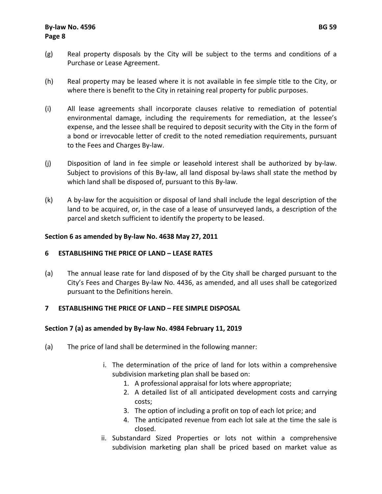- (g) Real property disposals by the City will be subject to the terms and conditions of a Purchase or Lease Agreement.
- (h) Real property may be leased where it is not available in fee simple title to the City, or where there is benefit to the City in retaining real property for public purposes.
- (i) All lease agreements shall incorporate clauses relative to remediation of potential environmental damage, including the requirements for remediation, at the lessee's expense, and the lessee shall be required to deposit security with the City in the form of a bond or irrevocable letter of credit to the noted remediation requirements, pursuant to the Fees and Charges By‐law.
- (j) Disposition of land in fee simple or leasehold interest shall be authorized by by‐law. Subject to provisions of this By-law, all land disposal by-laws shall state the method by which land shall be disposed of, pursuant to this By‐law.
- (k) A by‐law for the acquisition or disposal of land shall include the legal description of the land to be acquired, or, in the case of a lease of unsurveyed lands, a description of the parcel and sketch sufficient to identify the property to be leased.

## **Section 6 as amended by By‐law No. 4638 May 27, 2011**

## **6 ESTABLISHING THE PRICE OF LAND – LEASE RATES**

(a) The annual lease rate for land disposed of by the City shall be charged pursuant to the City's Fees and Charges By‐law No. 4436, as amended, and all uses shall be categorized pursuant to the Definitions herein.

# **7 ESTABLISHING THE PRICE OF LAND – FEE SIMPLE DISPOSAL**

## **Section 7 (a) as amended by By‐law No. 4984 February 11, 2019**

- (a) The price of land shall be determined in the following manner:
	- i. The determination of the price of land for lots within a comprehensive subdivision marketing plan shall be based on:
		- 1. A professional appraisal for lots where appropriate;
		- 2. A detailed list of all anticipated development costs and carrying costs;
		- 3. The option of including a profit on top of each lot price; and
		- 4. The anticipated revenue from each lot sale at the time the sale is closed.
	- ii. Substandard Sized Properties or lots not within a comprehensive subdivision marketing plan shall be priced based on market value as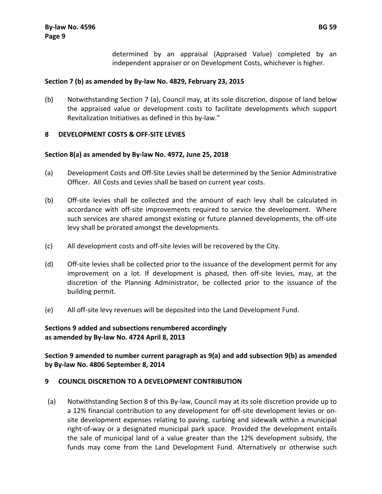determined by an appraisal (Appraised Value) completed by an independent appraiser or on Development Costs, whichever is higher.

#### **Section 7 (b) as amended by By‐law No. 4829, February 23, 2015**

(b) Notwithstanding Section 7 (a), Council may, at its sole discretion, dispose of land below the appraised value or development costs to facilitate developments which support Revitalization Initiatives as defined in this by‐law."

#### **8 DEVELOPMENT COSTS & OFF‐SITE LEVIES**

#### **Section 8(a) as amended by By‐law No. 4972, June 25, 2018**

- (a) Development Costs and Off‐Site Levies shall be determined by the Senior Administrative Officer. All Costs and Levies shall be based on current year costs.
- (b) Off‐site levies shall be collected and the amount of each levy shall be calculated in accordance with off‐site improvements required to service the development. Where such services are shared amongst existing or future planned developments, the off‐site levy shall be prorated amongst the developments.
- (c) All development costs and off‐site levies will be recovered by the City.
- (d) Off-site levies shall be collected prior to the issuance of the development permit for any improvement on a lot. If development is phased, then off‐site levies, may, at the discretion of the Planning Administrator, be collected prior to the issuance of the building permit.
- (e) All off‐site levy revenues will be deposited into the Land Development Fund.

# **Sections 9 added and subsections renumbered accordingly as amended by By‐law No. 4724 April 8, 2013**

# **Section 9 amended to number current paragraph as 9(a) and add subsection 9(b) as amended by By‐law No. 4806 September 8, 2014**

## **9 COUNCIL DISCRETION TO A DEVELOPMENT CONTRIBUTION**

(a) Notwithstanding Section 8 of this By‐law, Council may at its sole discretion provide up to a 12% financial contribution to any development for off‐site development levies or on‐ site development expenses relating to paving, curbing and sidewalk within a municipal right‐of‐way or a designated municipal park space. Provided the development entails the sale of municipal land of a value greater than the 12% development subsidy, the funds may come from the Land Development Fund. Alternatively or otherwise such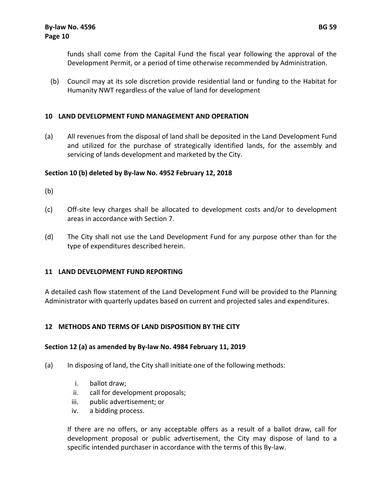funds shall come from the Capital Fund the fiscal year following the approval of the Development Permit, or a period of time otherwise recommended by Administration.

(b) Council may at its sole discretion provide residential land or funding to the Habitat for Humanity NWT regardless of the value of land for development

# **10 LAND DEVELOPMENT FUND MANAGEMENT AND OPERATION**

(a) All revenues from the disposal of land shall be deposited in the Land Development Fund and utilized for the purchase of strategically identified lands, for the assembly and servicing of lands development and marketed by the City.

# **Section 10 (b) deleted by By‐law No. 4952 February 12, 2018**

- (b)
- (c) Off‐site levy charges shall be allocated to development costs and/or to development areas in accordance with Section 7.
- (d) The City shall not use the Land Development Fund for any purpose other than for the type of expenditures described herein.

# **11 LAND DEVELOPMENT FUND REPORTING**

A detailed cash flow statement of the Land Development Fund will be provided to the Planning Administrator with quarterly updates based on current and projected sales and expenditures.

# **12 METHODS AND TERMS OF LAND DISPOSITION BY THE CITY**

# **Section 12 (a) as amended by By‐law No. 4984 February 11, 2019**

- (a) In disposing of land, the City shall initiate one of the following methods:
	- i. ballot draw;
	- ii. call for development proposals;
	- iii. public advertisement; or
	- iv. a bidding process.

If there are no offers, or any acceptable offers as a result of a ballot draw, call for development proposal or public advertisement, the City may dispose of land to a specific intended purchaser in accordance with the terms of this By‐law.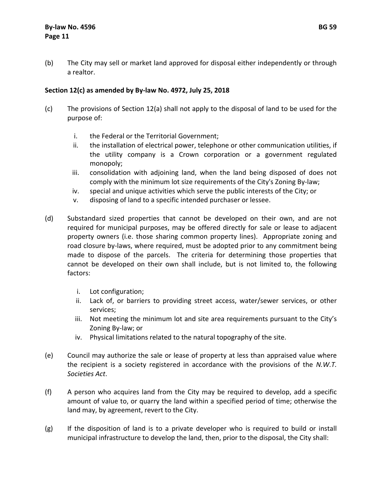(b) The City may sell or market land approved for disposal either independently or through a realtor.

# **Section 12(c) as amended by By‐law No. 4972, July 25, 2018**

- (c) The provisions of Section 12(a) shall not apply to the disposal of land to be used for the purpose of:
	- i. the Federal or the Territorial Government;
	- ii. the installation of electrical power, telephone or other communication utilities, if the utility company is a Crown corporation or a government regulated monopoly;
	- iii. consolidation with adjoining land, when the land being disposed of does not comply with the minimum lot size requirements of the City's Zoning By‐law;
	- iv. special and unique activities which serve the public interests of the City; or
	- v. disposing of land to a specific intended purchaser or lessee.
- (d) Substandard sized properties that cannot be developed on their own, and are not required for municipal purposes, may be offered directly for sale or lease to adjacent property owners (i.e. those sharing common property lines). Appropriate zoning and road closure by‐laws, where required, must be adopted prior to any commitment being made to dispose of the parcels. The criteria for determining those properties that cannot be developed on their own shall include, but is not limited to, the following factors:
	- i. Lot configuration;
	- ii. Lack of, or barriers to providing street access, water/sewer services, or other services;
	- iii. Not meeting the minimum lot and site area requirements pursuant to the City's Zoning By‐law; or
	- iv. Physical limitations related to the natural topography of the site.
- (e) Council may authorize the sale or lease of property at less than appraised value where the recipient is a society registered in accordance with the provisions of the *N.W.T. Societies Act*.
- (f) A person who acquires land from the City may be required to develop, add a specific amount of value to, or quarry the land within a specified period of time; otherwise the land may, by agreement, revert to the City.
- (g) If the disposition of land is to a private developer who is required to build or install municipal infrastructure to develop the land, then, prior to the disposal, the City shall: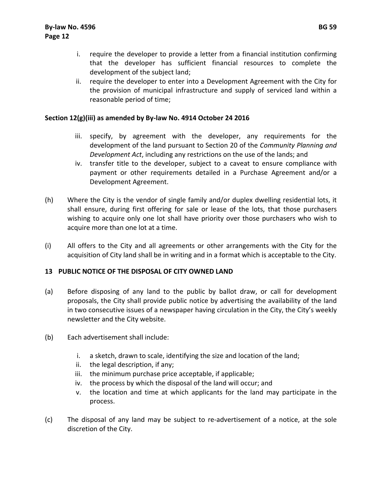- i. require the developer to provide a letter from a financial institution confirming that the developer has sufficient financial resources to complete the development of the subject land;
- ii. require the developer to enter into a Development Agreement with the City for the provision of municipal infrastructure and supply of serviced land within a reasonable period of time;

# **Section 12(g)(iii) as amended by By‐law No. 4914 October 24 2016**

- iii. specify, by agreement with the developer, any requirements for the development of the land pursuant to Section 20 of the *Community Planning and Development Act*, including any restrictions on the use of the lands; and
- iv. transfer title to the developer, subject to a caveat to ensure compliance with payment or other requirements detailed in a Purchase Agreement and/or a Development Agreement.
- (h) Where the City is the vendor of single family and/or duplex dwelling residential lots, it shall ensure, during first offering for sale or lease of the lots, that those purchasers wishing to acquire only one lot shall have priority over those purchasers who wish to acquire more than one lot at a time.
- (i) All offers to the City and all agreements or other arrangements with the City for the acquisition of City land shall be in writing and in a format which is acceptable to the City.

## **13 PUBLIC NOTICE OF THE DISPOSAL OF CITY OWNED LAND**

- (a) Before disposing of any land to the public by ballot draw, or call for development proposals, the City shall provide public notice by advertising the availability of the land in two consecutive issues of a newspaper having circulation in the City, the City's weekly newsletter and the City website.
- (b) Each advertisement shall include:
	- i. a sketch, drawn to scale, identifying the size and location of the land;
	- ii. the legal description, if any;
	- iii. the minimum purchase price acceptable, if applicable;
	- iv. the process by which the disposal of the land will occur; and
	- v. the location and time at which applicants for the land may participate in the process.
- (c) The disposal of any land may be subject to re‐advertisement of a notice, at the sole discretion of the City.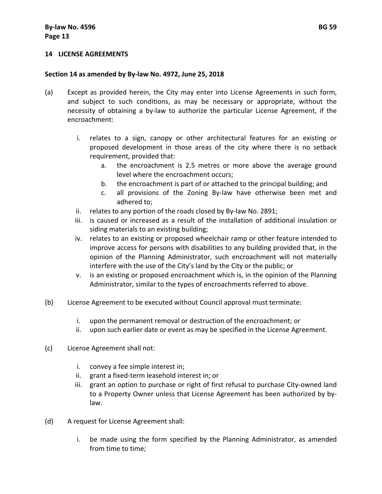#### **14 LICENSE AGREEMENTS**

#### **Section 14 as amended by By‐law No. 4972, June 25, 2018**

- (a) Except as provided herein, the City may enter into License Agreements in such form, and subject to such conditions, as may be necessary or appropriate, without the necessity of obtaining a by‐law to authorize the particular License Agreement, if the encroachment:
	- i. relates to a sign, canopy or other architectural features for an existing or proposed development in those areas of the city where there is no setback requirement, provided that:
		- a. the encroachment is 2.5 metres or more above the average ground level where the encroachment occurs;
		- b. the encroachment is part of or attached to the principal building; and
		- c. all provisions of the Zoning By‐law have otherwise been met and adhered to;
	- ii. relates to any portion of the roads closed by By‐law No. 2891;
	- iii. is caused or increased as a result of the installation of additional insulation or siding materials to an existing building;
	- iv. relates to an existing or proposed wheelchair ramp or other feature intended to improve access for persons with disabilities to any building provided that, in the opinion of the Planning Administrator, such encroachment will not materially interfere with the use of the City's land by the City or the public; or
	- v. is an existing or proposed encroachment which is, in the opinion of the Planning Administrator, similar to the types of encroachments referred to above.
- (b) License Agreement to be executed without Council approval must terminate:
	- i. upon the permanent removal or destruction of the encroachment; or
	- ii. upon such earlier date or event as may be specified in the License Agreement.
- (c) License Agreement shall not:
	- i. convey a fee simple interest in;
	- ii. grant a fixed‐term leasehold interest in; or
	- iii. grant an option to purchase or right of first refusal to purchase City-owned land to a Property Owner unless that License Agreement has been authorized by by‐ law.
- (d) A request for License Agreement shall:
	- i. be made using the form specified by the Planning Administrator, as amended from time to time;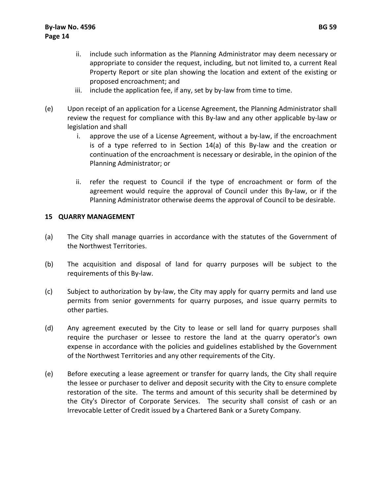- ii. include such information as the Planning Administrator may deem necessary or appropriate to consider the request, including, but not limited to, a current Real Property Report or site plan showing the location and extent of the existing or proposed encroachment; and
- iii. include the application fee, if any, set by by-law from time to time.
- (e) Upon receipt of an application for a License Agreement, the Planning Administrator shall review the request for compliance with this By‐law and any other applicable by‐law or legislation and shall
	- i. approve the use of a License Agreement, without a by‐law, if the encroachment is of a type referred to in Section 14(a) of this By‐law and the creation or continuation of the encroachment is necessary or desirable, in the opinion of the Planning Administrator; or
	- ii. refer the request to Council if the type of encroachment or form of the agreement would require the approval of Council under this By‐law, or if the Planning Administrator otherwise deems the approval of Council to be desirable.

## **15 QUARRY MANAGEMENT**

- (a) The City shall manage quarries in accordance with the statutes of the Government of the Northwest Territories.
- (b) The acquisition and disposal of land for quarry purposes will be subject to the requirements of this By‐law.
- (c) Subject to authorization by by‐law, the City may apply for quarry permits and land use permits from senior governments for quarry purposes, and issue quarry permits to other parties.
- (d) Any agreement executed by the City to lease or sell land for quarry purposes shall require the purchaser or lessee to restore the land at the quarry operator's own expense in accordance with the policies and guidelines established by the Government of the Northwest Territories and any other requirements of the City.
- (e) Before executing a lease agreement or transfer for quarry lands, the City shall require the lessee or purchaser to deliver and deposit security with the City to ensure complete restoration of the site. The terms and amount of this security shall be determined by the City's Director of Corporate Services. The security shall consist of cash or an Irrevocable Letter of Credit issued by a Chartered Bank or a Surety Company.